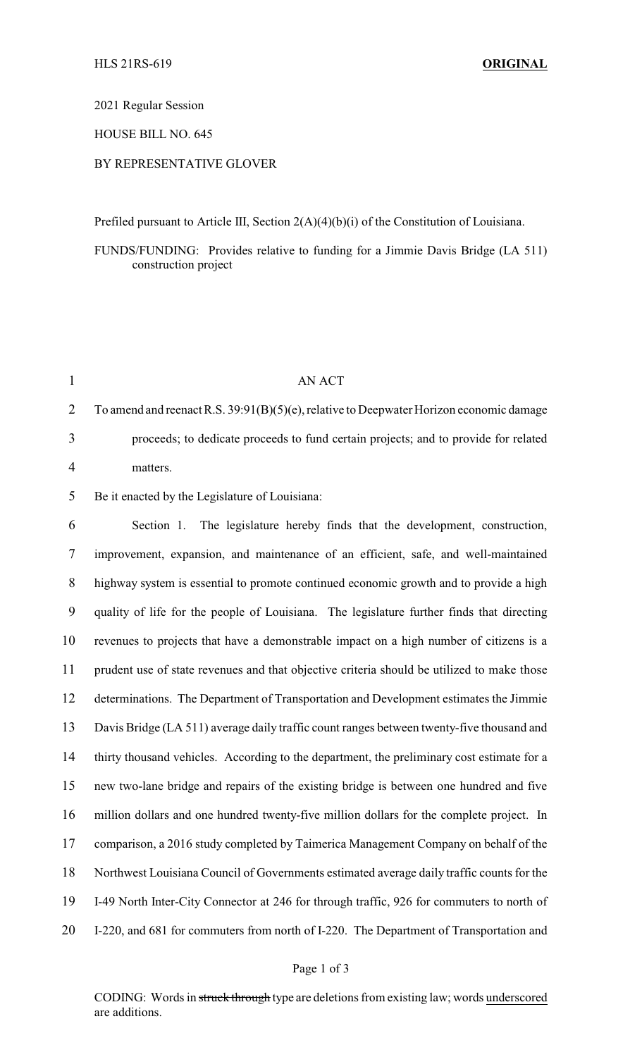# 2021 Regular Session

## HOUSE BILL NO. 645

## BY REPRESENTATIVE GLOVER

Prefiled pursuant to Article III, Section 2(A)(4)(b)(i) of the Constitution of Louisiana.

FUNDS/FUNDING: Provides relative to funding for a Jimmie Davis Bridge (LA 511) construction project

|   | AN ACT                                                                                     |
|---|--------------------------------------------------------------------------------------------|
| 2 | To amend and reenact R.S. $39:91(B)(5)(e)$ , relative to Deepwater Horizon economic damage |
| 3 | proceeds; to dedicate proceeds to fund certain projects; and to provide for related        |
|   | matters.                                                                                   |

5 Be it enacted by the Legislature of Louisiana:

 Section 1. The legislature hereby finds that the development, construction, improvement, expansion, and maintenance of an efficient, safe, and well-maintained highway system is essential to promote continued economic growth and to provide a high quality of life for the people of Louisiana. The legislature further finds that directing revenues to projects that have a demonstrable impact on a high number of citizens is a prudent use of state revenues and that objective criteria should be utilized to make those determinations. The Department of Transportation and Development estimates the Jimmie Davis Bridge (LA 511) average daily traffic count ranges between twenty-five thousand and thirty thousand vehicles. According to the department, the preliminary cost estimate for a new two-lane bridge and repairs of the existing bridge is between one hundred and five million dollars and one hundred twenty-five million dollars for the complete project. In comparison, a 2016 study completed by Taimerica Management Company on behalf of the Northwest Louisiana Council of Governments estimated average daily traffic counts for the I-49 North Inter-City Connector at 246 for through traffic, 926 for commuters to north of I-220, and 681 for commuters from north of I-220. The Department of Transportation and

# Page 1 of 3

CODING: Words in struck through type are deletions from existing law; words underscored are additions.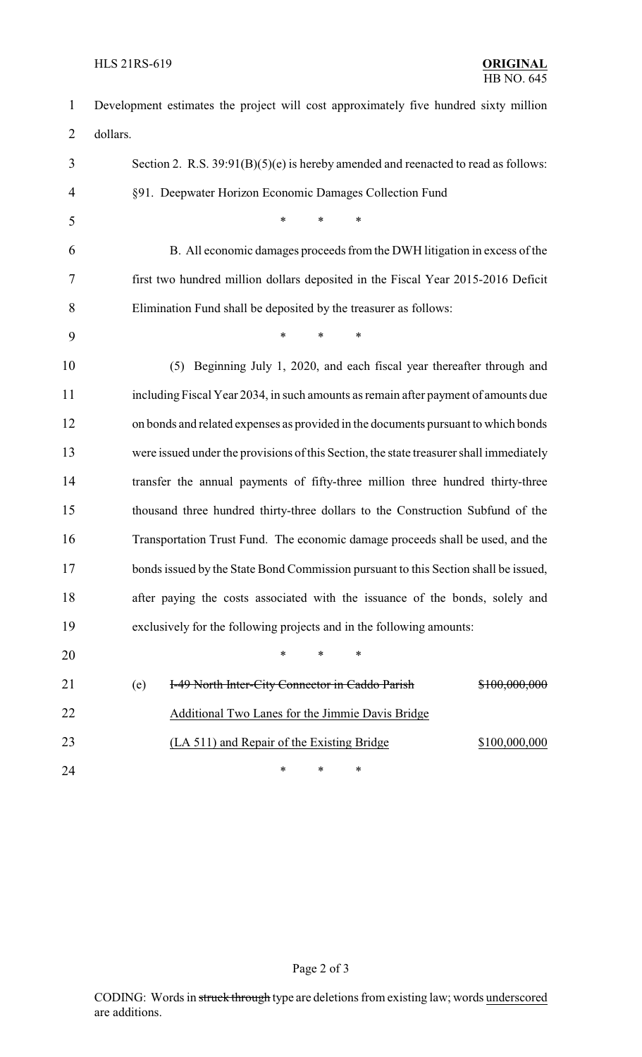| 1              | Development estimates the project will cost approximately five hundred sixty million    |  |  |
|----------------|-----------------------------------------------------------------------------------------|--|--|
| $\overline{2}$ | dollars.                                                                                |  |  |
| 3              | Section 2. R.S. $39:91(B)(5)(e)$ is hereby amended and reenacted to read as follows:    |  |  |
| $\overline{4}$ | §91. Deepwater Horizon Economic Damages Collection Fund                                 |  |  |
| 5              | $\ast$<br>$\ast$<br>$\ast$                                                              |  |  |
| 6              | B. All economic damages proceeds from the DWH litigation in excess of the               |  |  |
| 7              | first two hundred million dollars deposited in the Fiscal Year 2015-2016 Deficit        |  |  |
| 8              | Elimination Fund shall be deposited by the treasurer as follows:                        |  |  |
| 9              | $\ast$<br>$\ast$<br>$\ast$                                                              |  |  |
| 10             | (5) Beginning July 1, 2020, and each fiscal year thereafter through and                 |  |  |
| 11             | including Fiscal Year 2034, in such amounts as remain after payment of amounts due      |  |  |
| 12             | on bonds and related expenses as provided in the documents pursuant to which bonds      |  |  |
| 13             | were issued under the provisions of this Section, the state treasurer shall immediately |  |  |
| 14             | transfer the annual payments of fifty-three million three hundred thirty-three          |  |  |
| 15             | thousand three hundred thirty-three dollars to the Construction Subfund of the          |  |  |
| 16             | Transportation Trust Fund. The economic damage proceeds shall be used, and the          |  |  |
| 17             | bonds issued by the State Bond Commission pursuant to this Section shall be issued,     |  |  |
| 18             | after paying the costs associated with the issuance of the bonds, solely and            |  |  |
| 19             | exclusively for the following projects and in the following amounts:                    |  |  |
| 20             | $\ast$<br>*<br>*                                                                        |  |  |
| 21             | (e)<br>I-49 North Inter-City Connector in Caddo Parish<br>\$100,000,000                 |  |  |
| 22             | Additional Two Lanes for the Jimmie Davis Bridge                                        |  |  |
| 23             | (LA 511) and Repair of the Existing Bridge<br>\$100,000,000                             |  |  |
| 24             | ∗<br>∗<br>∗                                                                             |  |  |